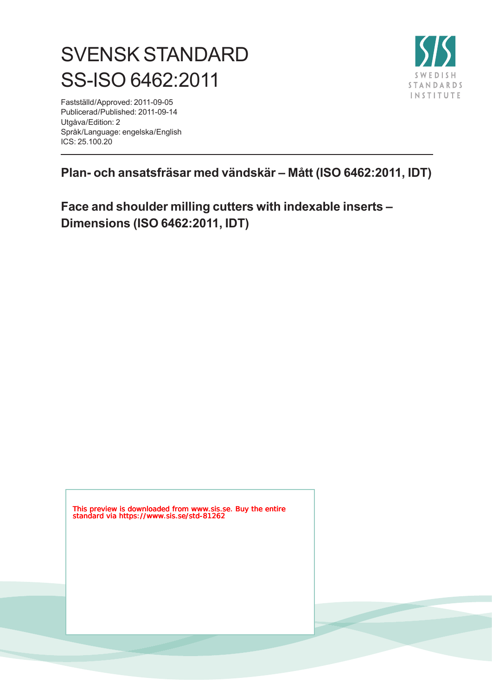# SVENSK STANDARD SS-ISO 6462:2011



Fastställd/Approved: 2011-09-05 Publicerad/Published: 2011-09-14 Utgåva/Edition: 2 Språk/Language: engelska/English ICS: 25.100.20

**Plan- och ansatsfräsar med vändskär – Mått (ISO 6462:2011, IDT)**

**Face and shoulder milling cutters with indexable inserts – Dimensions (ISO 6462:2011, IDT)**

This preview is downloaded from www.sis.se. Buy the entire standard via https://www.sis.se/std-81262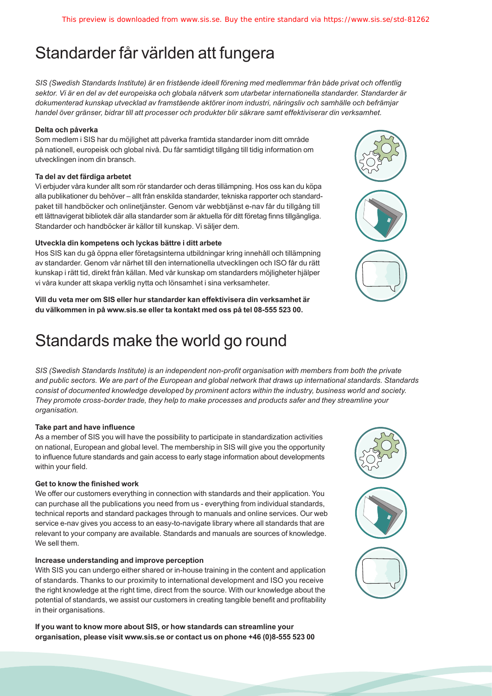## Standarder får världen att fungera

*SIS (Swedish Standards Institute) är en fristående ideell förening med medlemmar från både privat och offentlig sektor. Vi är en del av det europeiska och globala nätverk som utarbetar internationella standarder. Standarder är dokumenterad kunskap utvecklad av framstående aktörer inom industri, näringsliv och samhälle och befrämjar handel över gränser, bidrar till att processer och produkter blir säkrare samt effektiviserar din verksamhet.* 

#### **Delta och påverka**

Som medlem i SIS har du möjlighet att påverka framtida standarder inom ditt område på nationell, europeisk och global nivå. Du får samtidigt tillgång till tidig information om utvecklingen inom din bransch.

#### **Ta del av det färdiga arbetet**

Vi erbjuder våra kunder allt som rör standarder och deras tillämpning. Hos oss kan du köpa alla publikationer du behöver – allt från enskilda standarder, tekniska rapporter och standardpaket till handböcker och onlinetjänster. Genom vår webbtjänst e-nav får du tillgång till ett lättnavigerat bibliotek där alla standarder som är aktuella för ditt företag finns tillgängliga. Standarder och handböcker är källor till kunskap. Vi säljer dem.

#### **Utveckla din kompetens och lyckas bättre i ditt arbete**

Hos SIS kan du gå öppna eller företagsinterna utbildningar kring innehåll och tillämpning av standarder. Genom vår närhet till den internationella utvecklingen och ISO får du rätt kunskap i rätt tid, direkt från källan. Med vår kunskap om standarders möjligheter hjälper vi våra kunder att skapa verklig nytta och lönsamhet i sina verksamheter.

**Vill du veta mer om SIS eller hur standarder kan effektivisera din verksamhet är du välkommen in på www.sis.se eller ta kontakt med oss på tel 08-555 523 00.**

## Standards make the world go round

*SIS (Swedish Standards Institute) is an independent non-profit organisation with members from both the private and public sectors. We are part of the European and global network that draws up international standards. Standards consist of documented knowledge developed by prominent actors within the industry, business world and society. They promote cross-border trade, they help to make processes and products safer and they streamline your organisation.*

#### **Take part and have influence**

As a member of SIS you will have the possibility to participate in standardization activities on national, European and global level. The membership in SIS will give you the opportunity to influence future standards and gain access to early stage information about developments within your field.

#### **Get to know the finished work**

We offer our customers everything in connection with standards and their application. You can purchase all the publications you need from us - everything from individual standards, technical reports and standard packages through to manuals and online services. Our web service e-nav gives you access to an easy-to-navigate library where all standards that are relevant to your company are available. Standards and manuals are sources of knowledge. We sell them.

#### **Increase understanding and improve perception**

With SIS you can undergo either shared or in-house training in the content and application of standards. Thanks to our proximity to international development and ISO you receive the right knowledge at the right time, direct from the source. With our knowledge about the potential of standards, we assist our customers in creating tangible benefit and profitability in their organisations.

**If you want to know more about SIS, or how standards can streamline your organisation, please visit www.sis.se or contact us on phone +46 (0)8-555 523 00**



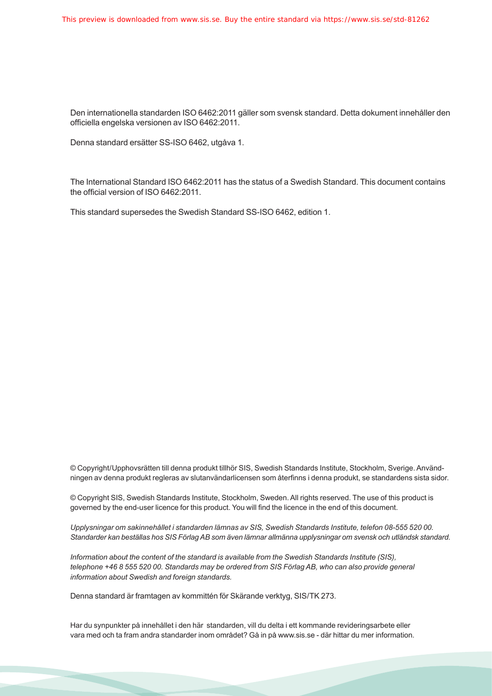Den internationella standarden ISO 6462:2011 gäller som svensk standard. Detta dokument innehåller den officiella engelska versionen av ISO 6462:2011.

Denna standard ersätter SS-ISO 6462, utgåva 1.

The International Standard ISO 6462:2011 has the status of a Swedish Standard. This document contains the official version of ISO 6462:2011.

This standard supersedes the Swedish Standard SS-ISO 6462, edition 1.

© Copyright/Upphovsrätten till denna produkt tillhör SIS, Swedish Standards Institute, Stockholm, Sverige. Användningen av denna produkt regleras av slutanvändarlicensen som återfinns i denna produkt, se standardens sista sidor.

© Copyright SIS, Swedish Standards Institute, Stockholm, Sweden. All rights reserved. The use of this product is governed by the end-user licence for this product. You will find the licence in the end of this document.

*Upplysningar om sakinnehållet i standarden lämnas av SIS, Swedish Standards Institute, telefon 08-555 520 00. Standarder kan beställas hos SIS Förlag AB som även lämnar allmänna upplysningar om svensk och utländsk standard.*

*Information about the content of the standard is available from the Swedish Standards Institute (SIS), telephone +46 8 555 520 00. Standards may be ordered from SIS Förlag AB, who can also provide general information about Swedish and foreign standards.*

Denna standard är framtagen av kommittén för Skärande verktyg, SIS/TK 273.

Har du synpunkter på innehållet i den här standarden, vill du delta i ett kommande revideringsarbete eller vara med och ta fram andra standarder inom området? Gå in på www.sis.se - där hittar du mer information.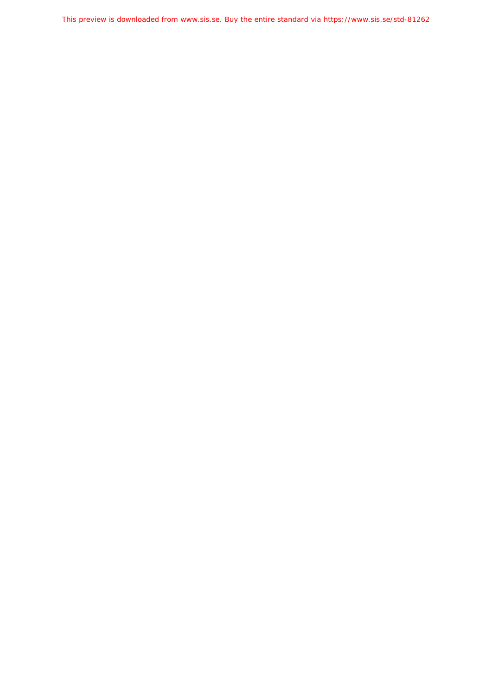This preview is downloaded from www.sis.se. Buy the entire standard via https://www.sis.se/std-81262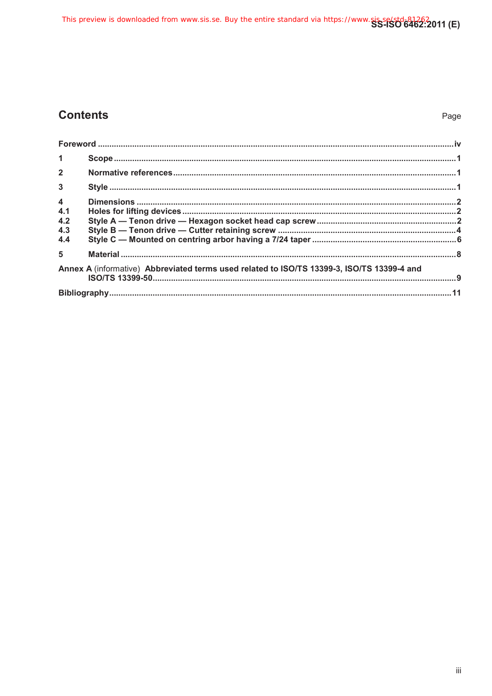## **Contents**

Page

| $\mathbf{1}$   |                                                                                            |  |
|----------------|--------------------------------------------------------------------------------------------|--|
| $\overline{2}$ |                                                                                            |  |
| $\overline{3}$ |                                                                                            |  |
| $\overline{4}$ |                                                                                            |  |
| 4.1            |                                                                                            |  |
| 4.2<br>4.3     |                                                                                            |  |
| 4.4            |                                                                                            |  |
| $5^{\circ}$    |                                                                                            |  |
|                | Annex A (informative) Abbreviated terms used related to ISO/TS 13399-3, ISO/TS 13399-4 and |  |
|                |                                                                                            |  |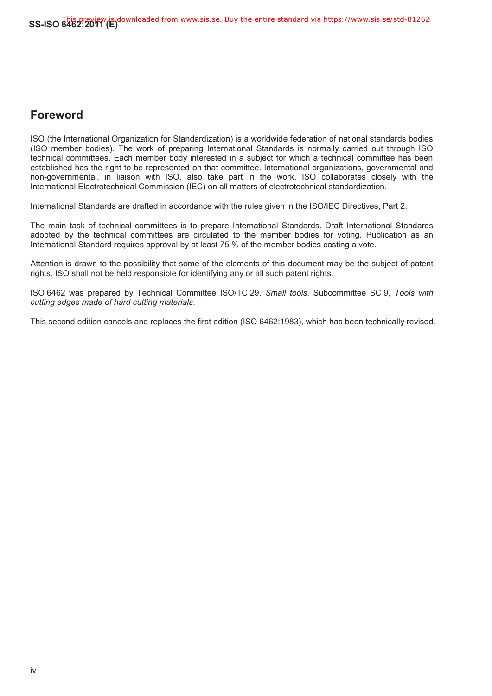## **Foreword**

ISO (the International Organization for Standardization) is a worldwide federation of national standards bodies (ISO member bodies). The work of preparing International Standards is normally carried out through ISO technical committees. Each member body interested in a subject for which a technical committee has been established has the right to be represented on that committee. International organizations, governmental and non-governmental, in liaison with ISO, also take part in the work. ISO collaborates closely with the International Electrotechnical Commission (IEC) on all matters of electrotechnical standardization.

International Standards are drafted in accordance with the rules given in the ISO/IEC Directives, Part 2.

The main task of technical committees is to prepare International Standards. Draft International Standards adopted by the technical committees are circulated to the member bodies for voting. Publication as an International Standard requires approval by at least 75 % of the member bodies casting a vote.

Attention is drawn to the possibility that some of the elements of this document may be the subject of patent rights. ISO shall not be held responsible for identifying any or all such patent rights.

ISO 6462 was prepared by Technical Committee ISO/TC 29, *Small tools*, Subcommittee SC 9, *Tools with cutting edges made of hard cutting materials*.

This second edition cancels and replaces the first edition (ISO 6462:1983), which has been technically revised.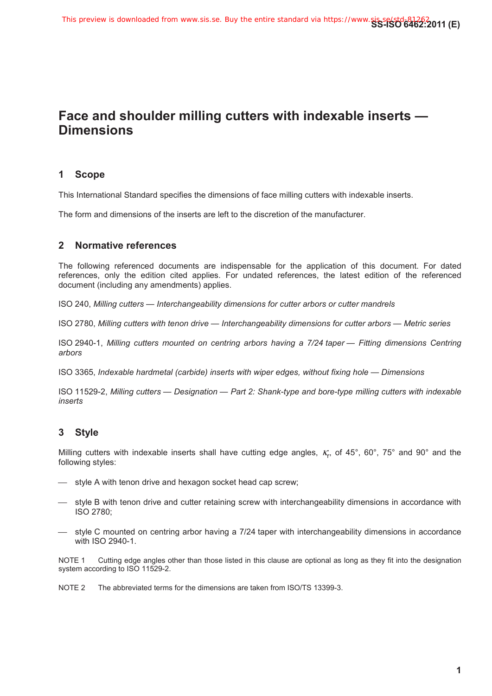## **Face and shoulder milling cutters with indexable inserts — Dimensions**

## **1 Scope**

This International Standard specifies the dimensions of face milling cutters with indexable inserts.

The form and dimensions of the inserts are left to the discretion of the manufacturer.

## **2 Normative references**

The following referenced documents are indispensable for the application of this document. For dated references, only the edition cited applies. For undated references, the latest edition of the referenced document (including any amendments) applies.

ISO 240, *Milling cutters — Interchangeability dimensions for cutter arbors or cutter mandrels*

ISO 2780, *Milling cutters with tenon drive — Interchangeability dimensions for cutter arbors — Metric series* 

ISO 2940-1, *Milling cutters mounted on centring arbors having a 7/24 taper — Fitting dimensions Centring arbors* 

ISO 3365, *Indexable hardmetal (carbide) inserts with wiper edges, without fixing hole — Dimensions* 

ISO 11529-2, *Milling cutters — Designation — Part 2: Shank-type and bore-type milling cutters with indexable inserts*

## **3 Style**

Milling cutters with indexable inserts shall have cutting edge angles,  $\kappa_r$ , of 45°, 60°, 75° and 90° and the following styles:

- style A with tenon drive and hexagon socket head cap screw;
- ⎯ style B with tenon drive and cutter retaining screw with interchangeability dimensions in accordance with ISO 2780;
- ⎯ style C mounted on centring arbor having a 7/24 taper with interchangeability dimensions in accordance with ISO 2940-1.

NOTE 1 Cutting edge angles other than those listed in this clause are optional as long as they fit into the designation system according to ISO 11529-2.

NOTE 2 The abbreviated terms for the dimensions are taken from ISO/TS 13399-3.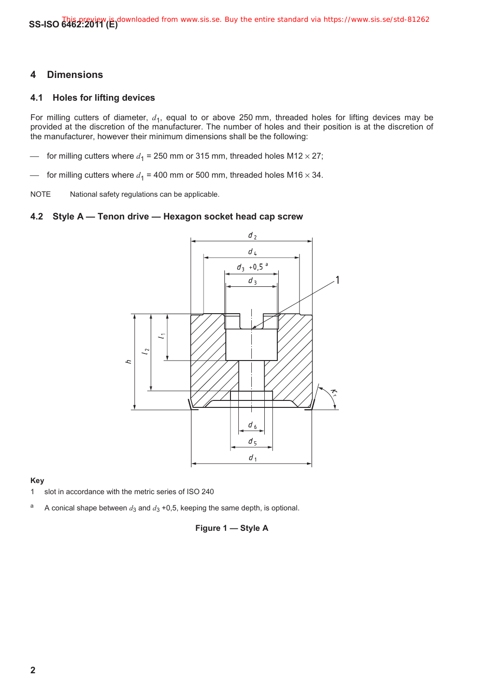## **4 Dimensions**

### **4.1 Holes for lifting devices**

For milling cutters of diameter,  $d_1$ , equal to or above 250 mm, threaded holes for lifting devices may be provided at the discretion of the manufacturer. The number of holes and their position is at the discretion of the manufacturer, however their minimum dimensions shall be the following:

- for milling cutters where  $d_1$  = 250 mm or 315 mm, threaded holes M12  $\times$  27;
- for milling cutters where  $d_1$  = 400 mm or 500 mm, threaded holes M16  $\times$  34.

NOTE National safety regulations can be applicable.

### **4.2 Style A — Tenon drive — Hexagon socket head cap screw**



#### **Key**

1 slot in accordance with the metric series of ISO 240

<sup>a</sup> A conical shape between  $d_3$  and  $d_3$  +0,5, keeping the same depth, is optional.

**Figure 1 — Style A**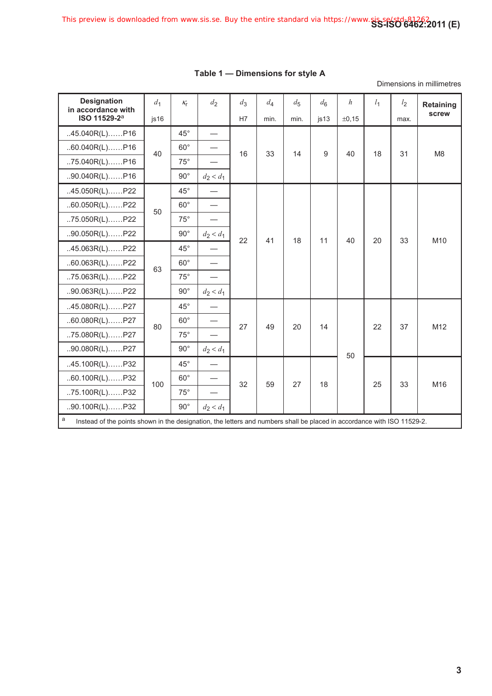|  |  | Table 1 - Dimensions for style A |  |  |  |  |
|--|--|----------------------------------|--|--|--|--|
|--|--|----------------------------------|--|--|--|--|

Dimensions in millimetres

| <b>Designation</b><br>in accordance with                                                                                     | d <sub>1</sub> | $K_r$        | $d_2$                    | $d_3$ | $d_4$ | $d_{5}$ | $d_{6}$          | $\boldsymbol{h}$ | l <sub>1</sub> | l <sub>2</sub> | <b>Retaining</b> |
|------------------------------------------------------------------------------------------------------------------------------|----------------|--------------|--------------------------|-------|-------|---------|------------------|------------------|----------------|----------------|------------------|
| ISO 11529-2 <sup>a</sup>                                                                                                     | js16           |              |                          | H7    | min.  | min.    | is <sub>13</sub> | ±0,15            |                | max.           | screw            |
| $.45.040R(L)$ P16                                                                                                            | 40             | $45^{\circ}$ |                          | 16    | 33    | 14      | 9                | 40               | 18             | 31             | M <sub>8</sub>   |
| $60.040R(L)$ P16                                                                                                             |                | $60^{\circ}$ |                          |       |       |         |                  |                  |                |                |                  |
| $.75.040R(L)$ P16                                                                                                            |                | $75^\circ$   |                          |       |       |         |                  |                  |                |                |                  |
| $.90.040R(L)$ P16                                                                                                            |                | $90^{\circ}$ | $d_2 < d_1$              |       |       |         |                  |                  |                |                |                  |
| $.45.050R(L)$ P22                                                                                                            |                | $45^{\circ}$ |                          |       | 41    | 18      | 11               | 40               | 20             | 33             | M10              |
| $.60.050R(L)$ P22                                                                                                            |                | $60^{\circ}$ |                          |       |       |         |                  |                  |                |                |                  |
| $.75.050R(L)$ P22                                                                                                            | 50             | $75^\circ$   |                          | 22    |       |         |                  |                  |                |                |                  |
| $.90.050R(L)$ P22                                                                                                            |                | $90^{\circ}$ | $d_2 < d_1$              |       |       |         |                  |                  |                |                |                  |
| $.45.063R(L)$ P22                                                                                                            | 63             | $45^{\circ}$ |                          |       |       |         |                  |                  |                |                |                  |
| $.60.063R(L)$ P22                                                                                                            |                | $60^\circ$   |                          |       |       |         |                  |                  |                |                |                  |
| $.75.063R(L)$ P22                                                                                                            |                | $75^\circ$   |                          |       |       |         |                  |                  |                |                |                  |
| $.90.063R(L)$ P22                                                                                                            |                | $90^{\circ}$ | $d_2 < d_1$              |       |       |         |                  |                  |                |                |                  |
| $.45.080R(L)$ P27                                                                                                            | 80             | $45^{\circ}$ |                          | 27    | 49    | 20      | 14               | 50               | 22             |                | M12              |
| $.60.080R(L)$ P27                                                                                                            |                | $60^\circ$   |                          |       |       |         |                  |                  |                | 37             |                  |
| $.75.080R(L)$ P27                                                                                                            |                | $75^\circ$   |                          |       |       |         |                  |                  |                |                |                  |
| $.90.080R(L)$ P27                                                                                                            |                | $90^{\circ}$ | $d_2 < d_1$              |       |       |         |                  |                  |                |                |                  |
| $.45.100R(L)$ P32                                                                                                            | 100            | $45^{\circ}$ | $\overline{\phantom{0}}$ |       | 59    | 27      | 18               |                  | 25             | 33             | M16              |
| $60.100R(L)$ P32                                                                                                             |                | $60^{\circ}$ |                          | 32    |       |         |                  |                  |                |                |                  |
| $75.100R(L)$ P32                                                                                                             |                | $75^\circ$   |                          |       |       |         |                  |                  |                |                |                  |
| $.90.100R(L)$ P32                                                                                                            |                | $90^{\circ}$ | $d_2 < d_1$              |       |       |         |                  |                  |                |                |                  |
| a<br>Instead of the points shown in the designation, the letters and numbers shall be placed in accordance with ISO 11529-2. |                |              |                          |       |       |         |                  |                  |                |                |                  |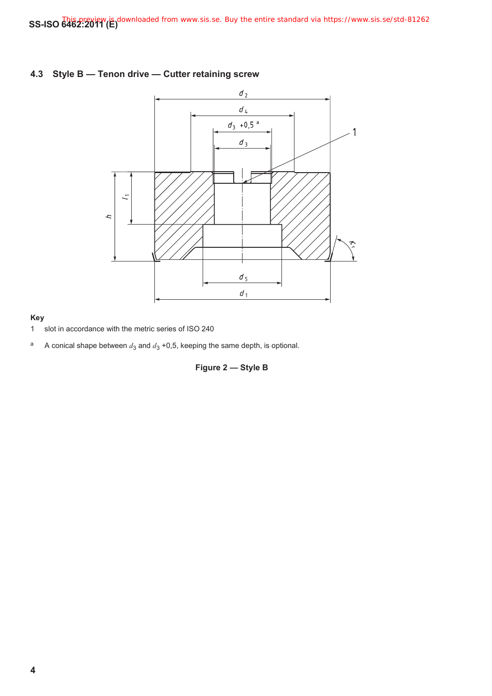**SS-ISO 6462:2011 (E)** This preview is downloaded from www.sis.se. Buy the entire standard via https://www.sis.se/std-81262<br>SS-ISO 6462:2011 (E)

## **4.3 Style B — Tenon drive — Cutter retaining screw**



#### **Key**

- 1 slot in accordance with the metric series of ISO 240
- <sup>a</sup> A conical shape between  $d_3$  and  $d_3$  +0,5, keeping the same depth, is optional.